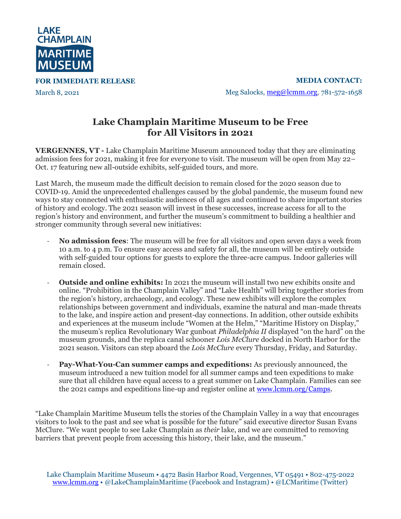

**FOR IMMEDIATE RELEASE**

March 8, 2021

**MEDIA CONTACT:** Meg Salocks, [meg@lcmm.org,](mailto:meg@lcmm.org) 781-572-1658

## **Lake Champlain Maritime Museum to be Free for All Visitors in 2021**

**VERGENNES, VT -** Lake Champlain Maritime Museum announced today that they are eliminating admission fees for 2021, making it free for everyone to visit. The museum will be open from May 22– Oct. 17 featuring new all-outside exhibits, self-guided tours, and more.

Last March, the museum made the difficult decision to remain closed for the 2020 season due to COVID-19. Amid the unprecedented challenges caused by the global pandemic, the museum found new ways to stay connected with enthusiastic audiences of all ages and continued to share important stories of history and ecology. The 2021 season will invest in these successes, increase access for all to the region's history and environment, and further the museum's commitment to building a healthier and stronger community through several new initiatives:

- **No admission fees**: The museum will be free for all visitors and open seven days a week from 10 a.m. to 4 p.m. To ensure easy access and safety for all, the museum will be entirely outside with self-guided tour options for guests to explore the three-acre campus. Indoor galleries will remain closed.
- **Outside and online exhibits:** In 2021 the museum will install two new exhibits onsite and online. "Prohibition in the Champlain Valley" and "Lake Health" will bring together stories from the region's history, archaeology, and ecology. These new exhibits will explore the complex relationships between government and individuals, examine the natural and man-made threats to the lake, and inspire action and present-day connections. In addition, other outside exhibits and experiences at the museum include "Women at the Helm," "Maritime History on Display," the museum's replica Revolutionary War gunboat *Philadelphia II* displayed "on the hard" on the museum grounds, and the replica canal schooner *Lois McClure* docked in North Harbor for the 2021 season*.* Visitors can step aboard the *Lois McClure* every Thursday, Friday, and Saturday.
- **Pay-What-You-Can summer camps and expeditions:** As previously announced, the museum introduced a new tuition model for all summer camps and teen expeditions to make sure that all children have equal access to a great summer on Lake Champlain. Families can see the 2021 camps and expeditions line-up and register online at [www.lcmm.org/Camps.](http://www.lcmm.org/Camps)

"Lake Champlain Maritime Museum tells the stories of the Champlain Valley in a way that encourages visitors to look to the past and see what is possible for the future" said executive director Susan Evans McClure. "We want people to see Lake Champlain as *their* lake, and we are committed to removing barriers that prevent people from accessing this history, their lake, and the museum."